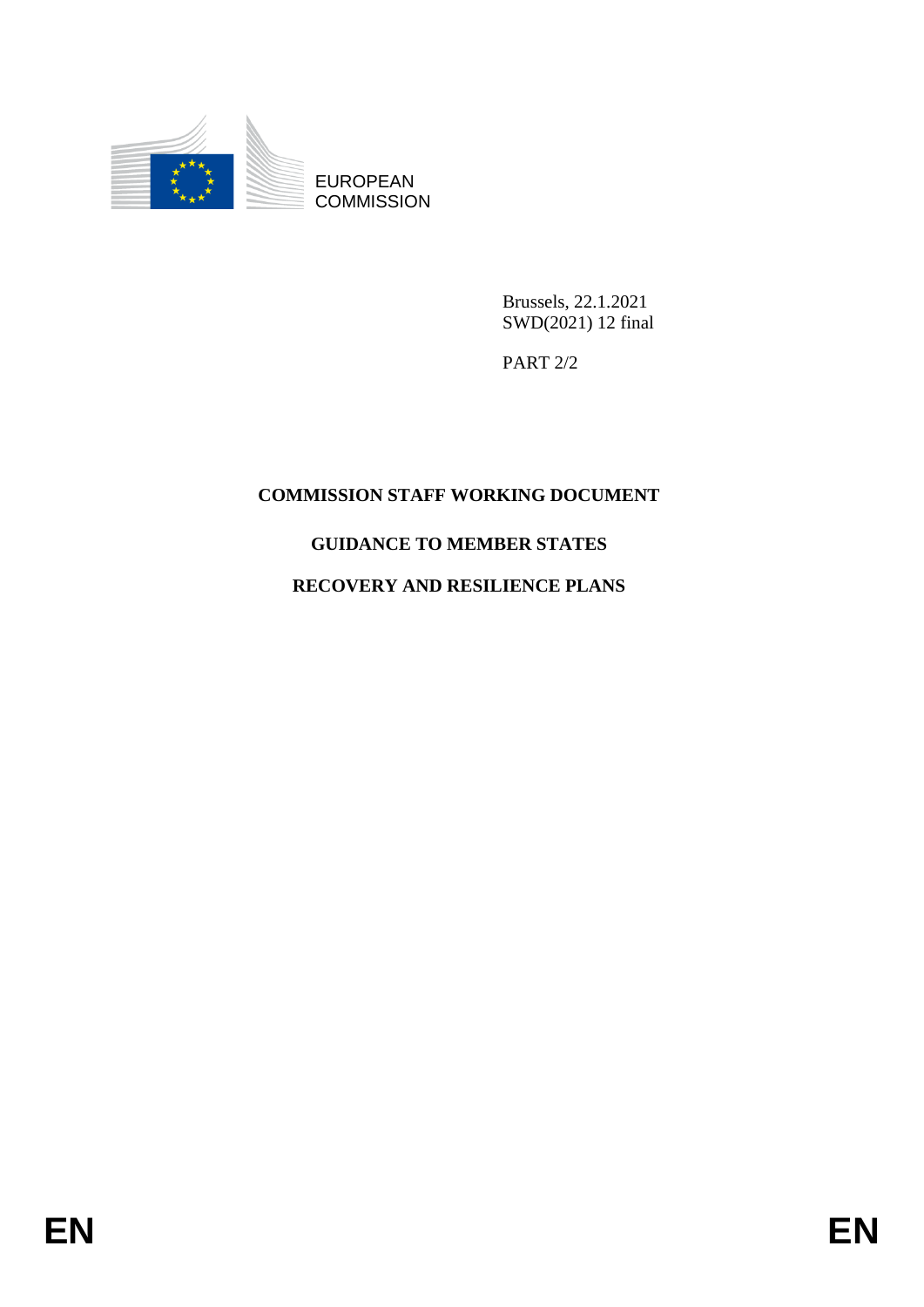

EUROPEAN **COMMISSION** 

> Brussels, 22.1.2021 SWD(2021) 12 final

PART 2/2

## **COMMISSION STAFF WORKING DOCUMENT**

### **GUIDANCE TO MEMBER STATES**

## **RECOVERY AND RESILIENCE PLANS**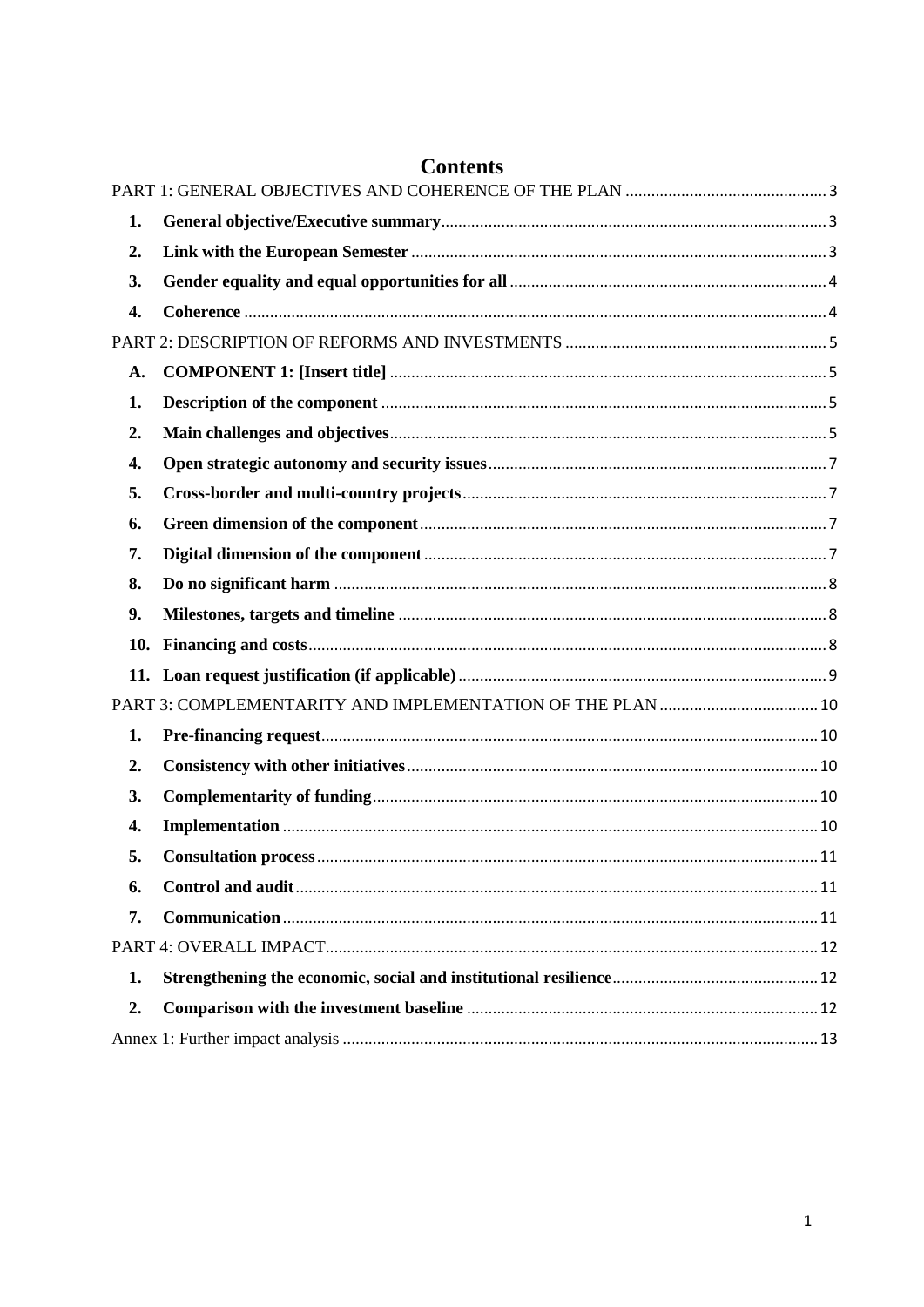| 1. |  |
|----|--|
| 2. |  |
| 3. |  |
| 4. |  |
|    |  |
| A. |  |
| 1. |  |
| 2. |  |
| 4. |  |
| 5. |  |
| 6. |  |
| 7. |  |
| 8. |  |
| 9. |  |
|    |  |
|    |  |
|    |  |
| 1. |  |
| 2. |  |
| 3. |  |
| 4. |  |
| 5. |  |
| 6. |  |
| 7. |  |
|    |  |
| 1. |  |
| 2. |  |
|    |  |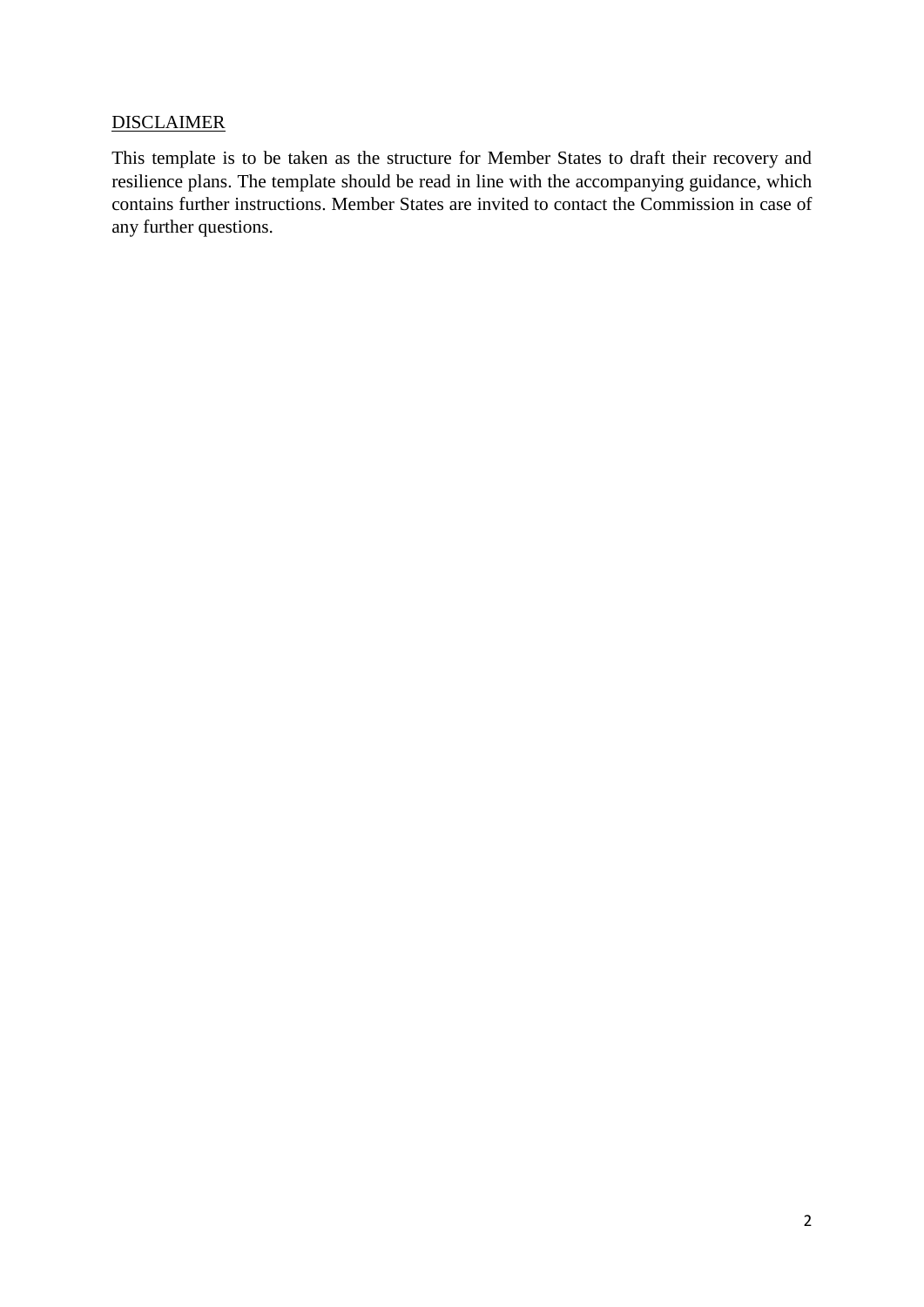#### **DISCLAIMER**

This template is to be taken as the structure for Member States to draft their recovery and resilience plans. The template should be read in line with the accompanying guidance, which contains further instructions. Member States are invited to contact the Commission in case of any further questions.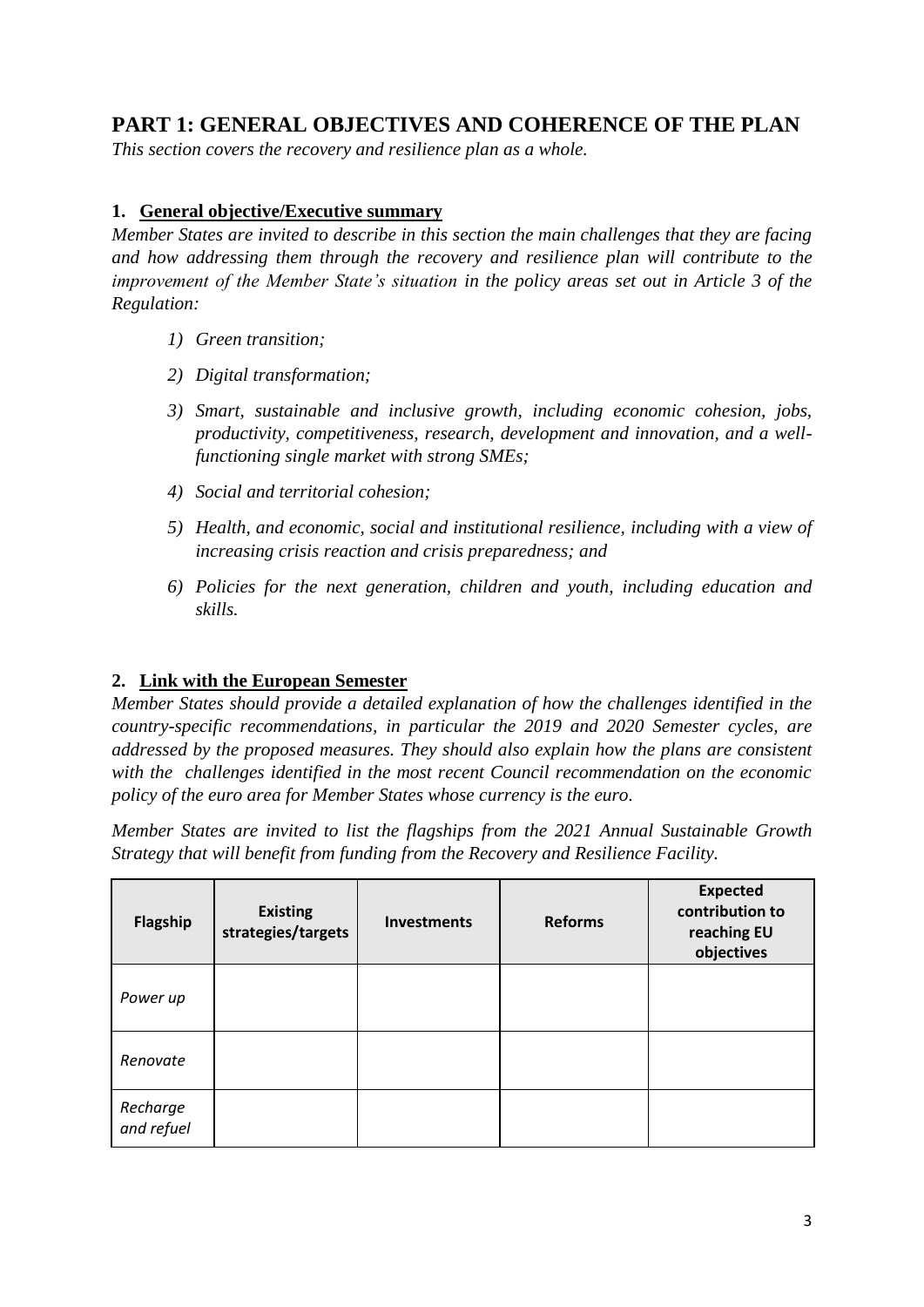## <span id="page-3-0"></span>**PART 1: GENERAL OBJECTIVES AND COHERENCE OF THE PLAN**

*This section covers the recovery and resilience plan as a whole.* 

#### <span id="page-3-1"></span>**1. General objective/Executive summary**

*Member States are invited to describe in this section the main challenges that they are facing and how addressing them through the recovery and resilience plan will contribute to the improvement of the Member State's situation in the policy areas set out in Article 3 of the Regulation:*

- *1) Green transition;*
- *2) Digital transformation;*
- *3) Smart, sustainable and inclusive growth, including economic cohesion, jobs, productivity, competitiveness, research, development and innovation, and a wellfunctioning single market with strong SMEs;*
- *4) Social and territorial cohesion;*
- *5) Health, and economic, social and institutional resilience, including with a view of increasing crisis reaction and crisis preparedness; and*
- *6) Policies for the next generation, children and youth, including education and skills.*

#### <span id="page-3-2"></span>**2. Link with the European Semester**

*Member States should provide a detailed explanation of how the challenges identified in the country-specific recommendations, in particular the 2019 and 2020 Semester cycles, are addressed by the proposed measures. They should also explain how the plans are consistent with the challenges identified in the most recent Council recommendation on the economic policy of the euro area for Member States whose currency is the euro.* 

*Member States are invited to list the flagships from the 2021 Annual Sustainable Growth Strategy that will benefit from funding from the Recovery and Resilience Facility.*

| Flagship               | <b>Existing</b><br>strategies/targets | <b>Investments</b> | <b>Reforms</b> | <b>Expected</b><br>contribution to<br>reaching EU<br>objectives |
|------------------------|---------------------------------------|--------------------|----------------|-----------------------------------------------------------------|
| Power up               |                                       |                    |                |                                                                 |
| Renovate               |                                       |                    |                |                                                                 |
| Recharge<br>and refuel |                                       |                    |                |                                                                 |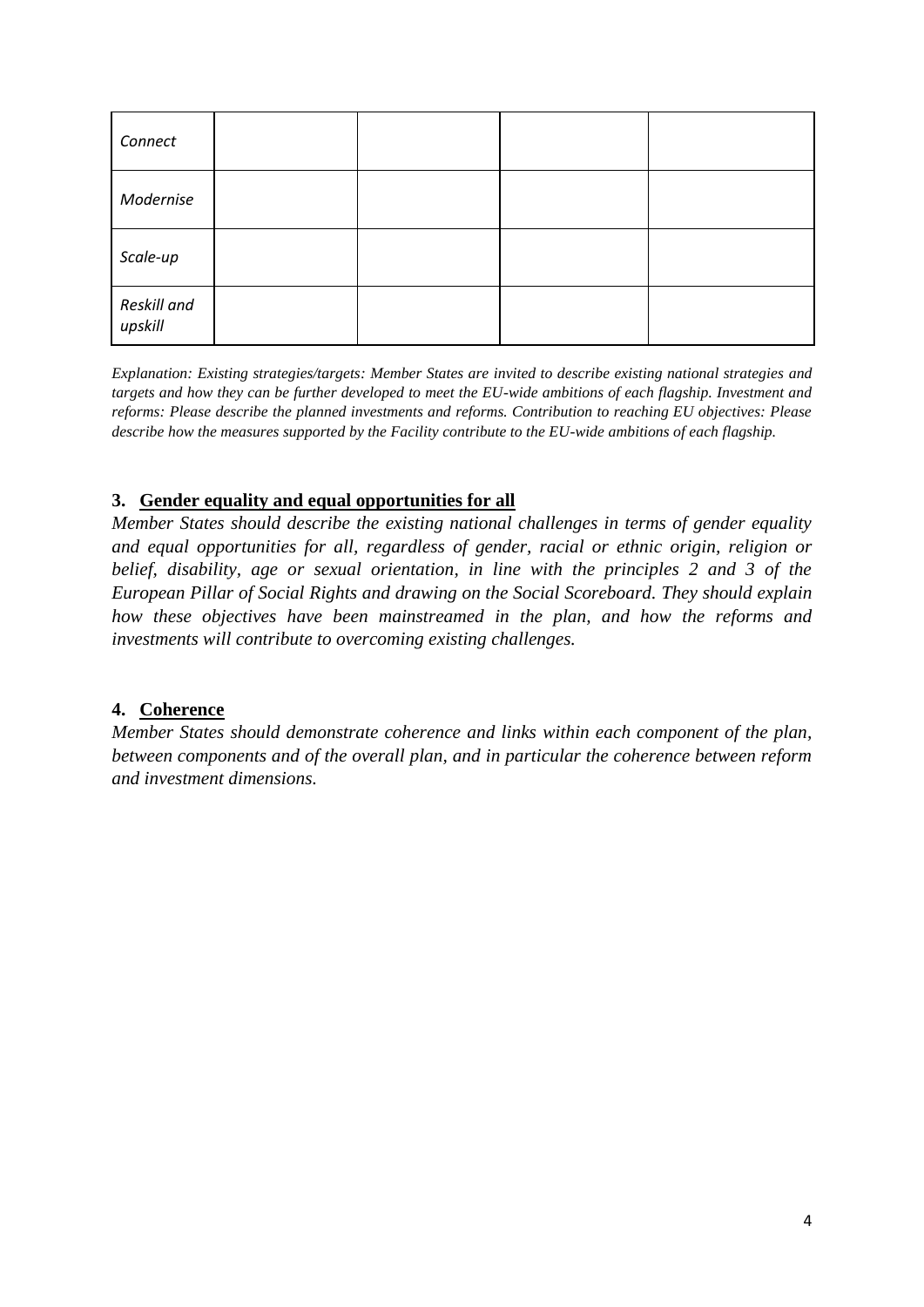| Connect                |  |  |
|------------------------|--|--|
| Modernise              |  |  |
| Scale-up               |  |  |
| Reskill and<br>upskill |  |  |

*Explanation: Existing strategies/targets: Member States are invited to describe existing national strategies and targets and how they can be further developed to meet the EU-wide ambitions of each flagship. Investment and reforms: Please describe the planned investments and reforms. Contribution to reaching EU objectives: Please describe how the measures supported by the Facility contribute to the EU-wide ambitions of each flagship.*

#### <span id="page-4-0"></span>**3. Gender equality and equal opportunities for all**

*Member States should describe the existing national challenges in terms of gender equality and equal opportunities for all, regardless of gender, racial or ethnic origin, religion or belief, disability, age or sexual orientation, in line with the principles 2 and 3 of the European Pillar of Social Rights and drawing on the Social Scoreboard. They should explain how these objectives have been mainstreamed in the plan, and how the reforms and investments will contribute to overcoming existing challenges.* 

#### <span id="page-4-1"></span>**4. Coherence**

*Member States should demonstrate coherence and links within each component of the plan, between components and of the overall plan, and in particular the coherence between reform and investment dimensions.*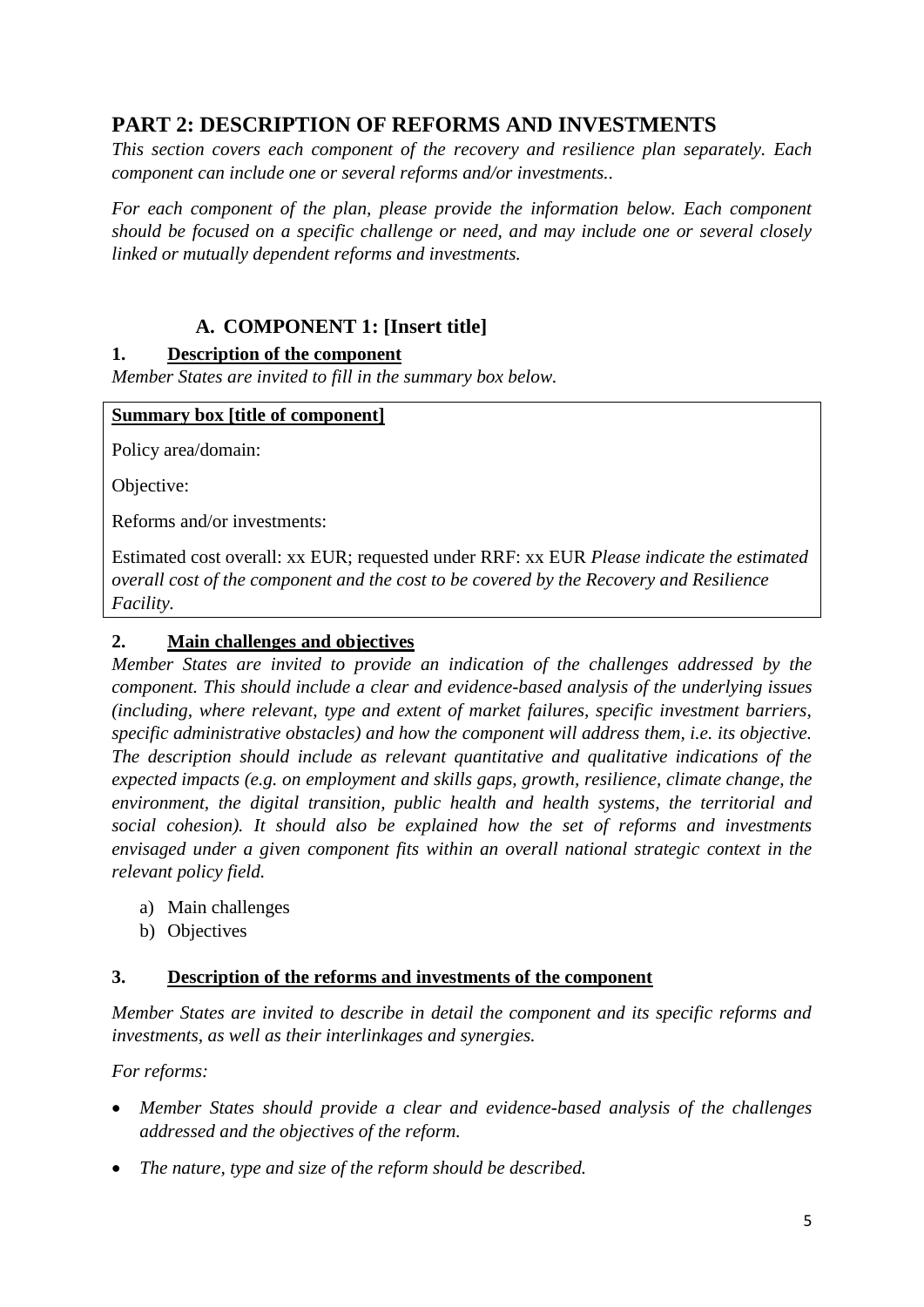## <span id="page-5-0"></span>**PART 2: DESCRIPTION OF REFORMS AND INVESTMENTS**

*This section covers each component of the recovery and resilience plan separately. Each component can include one or several reforms and/or investments..* 

For each component of the plan, please provide the information below. Each component *should be focused on a specific challenge or need, and may include one or several closely linked or mutually dependent reforms and investments.*

#### **A. COMPONENT 1: [Insert title]**

#### <span id="page-5-2"></span><span id="page-5-1"></span>**1. Description of the component**

*Member States are invited to fill in the summary box below.* 

#### **Summary box [title of component]**

Policy area/domain:

Objective:

Reforms and/or investments:

Estimated cost overall: xx EUR; requested under RRF: xx EUR *Please indicate the estimated overall cost of the component and the cost to be covered by the Recovery and Resilience Facility.*

#### <span id="page-5-3"></span>**2. Main challenges and objectives**

*Member States are invited to provide an indication of the challenges addressed by the component. This should include a clear and evidence-based analysis of the underlying issues (including, where relevant, type and extent of market failures, specific investment barriers, specific administrative obstacles) and how the component will address them, i.e. its objective. The description should include as relevant quantitative and qualitative indications of the expected impacts (e.g. on employment and skills gaps, growth, resilience, climate change, the environment, the digital transition, public health and health systems, the territorial and social cohesion). It should also be explained how the set of reforms and investments envisaged under a given component fits within an overall national strategic context in the relevant policy field.*

- a) Main challenges
- b) Objectives

#### **3. Description of the reforms and investments of the component**

*Member States are invited to describe in detail the component and its specific reforms and investments, as well as their interlinkages and synergies.*

*For reforms:*

- *Member States should provide a clear and evidence-based analysis of the challenges addressed and the objectives of the reform.*
- *The nature, type and size of the reform should be described.*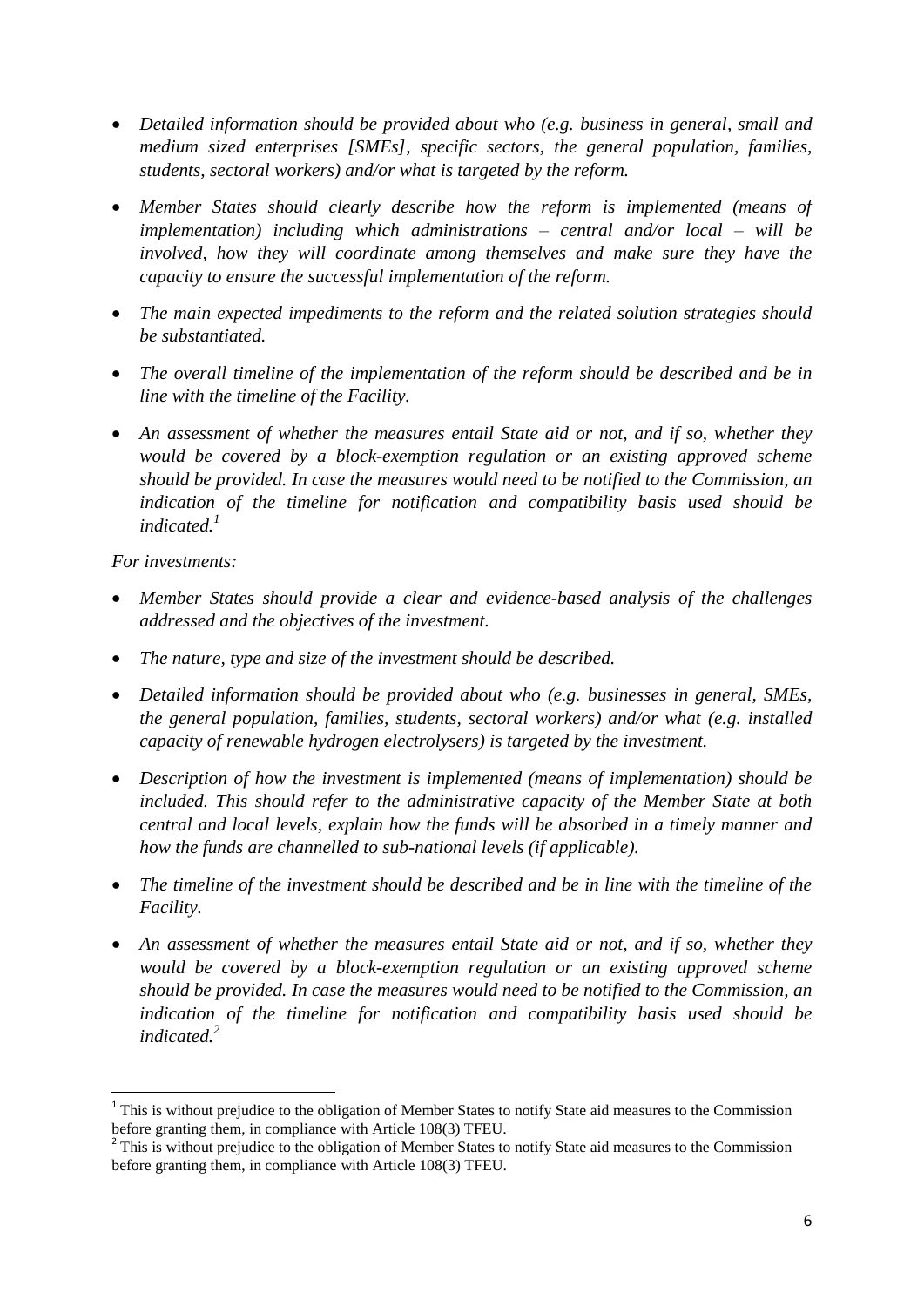- *Detailed information should be provided about who (e.g. business in general, small and medium sized enterprises [SMEs], specific sectors, the general population, families, students, sectoral workers) and/or what is targeted by the reform.*
- *Member States should clearly describe how the reform is implemented (means of implementation) including which administrations – central and/or local – will be involved, how they will coordinate among themselves and make sure they have the capacity to ensure the successful implementation of the reform.*
- *The main expected impediments to the reform and the related solution strategies should be substantiated.*
- The *overall timeline of the implementation of the reform should be described and be in line with the timeline of the Facility.*
- *An assessment of whether the measures entail State aid or not, and if so, whether they would be covered by a block-exemption regulation or an existing approved scheme should be provided. In case the measures would need to be notified to the Commission, an indication of the timeline for notification and compatibility basis used should be indicated. 1*

*For investments:*

**.** 

- *Member States should provide a clear and evidence-based analysis of the challenges addressed and the objectives of the investment.*
- *The nature, type and size of the investment should be described.*
- *Detailed information should be provided about who (e.g. businesses in general, SMEs, the general population, families, students, sectoral workers) and/or what (e.g. installed capacity of renewable hydrogen electrolysers) is targeted by the investment.*
- *Description of how the investment is implemented (means of implementation) should be included. This should refer to the administrative capacity of the Member State at both central and local levels, explain how the funds will be absorbed in a timely manner and how the funds are channelled to sub-national levels (if applicable).*
- *The timeline of the investment should be described and be in line with the timeline of the Facility.*
- *An assessment of whether the measures entail State aid or not, and if so, whether they would be covered by a block-exemption regulation or an existing approved scheme should be provided. In case the measures would need to be notified to the Commission, an indication of the timeline for notification and compatibility basis used should be indicated. 2*

<sup>&</sup>lt;sup>1</sup> This is without prejudice to the obligation of Member States to notify State aid measures to the Commission before granting them, in compliance with Article 108(3) TFEU.

<sup>&</sup>lt;sup>2</sup> This is without prejudice to the obligation of Member States to notify State aid measures to the Commission before granting them, in compliance with Article 108(3) TFEU.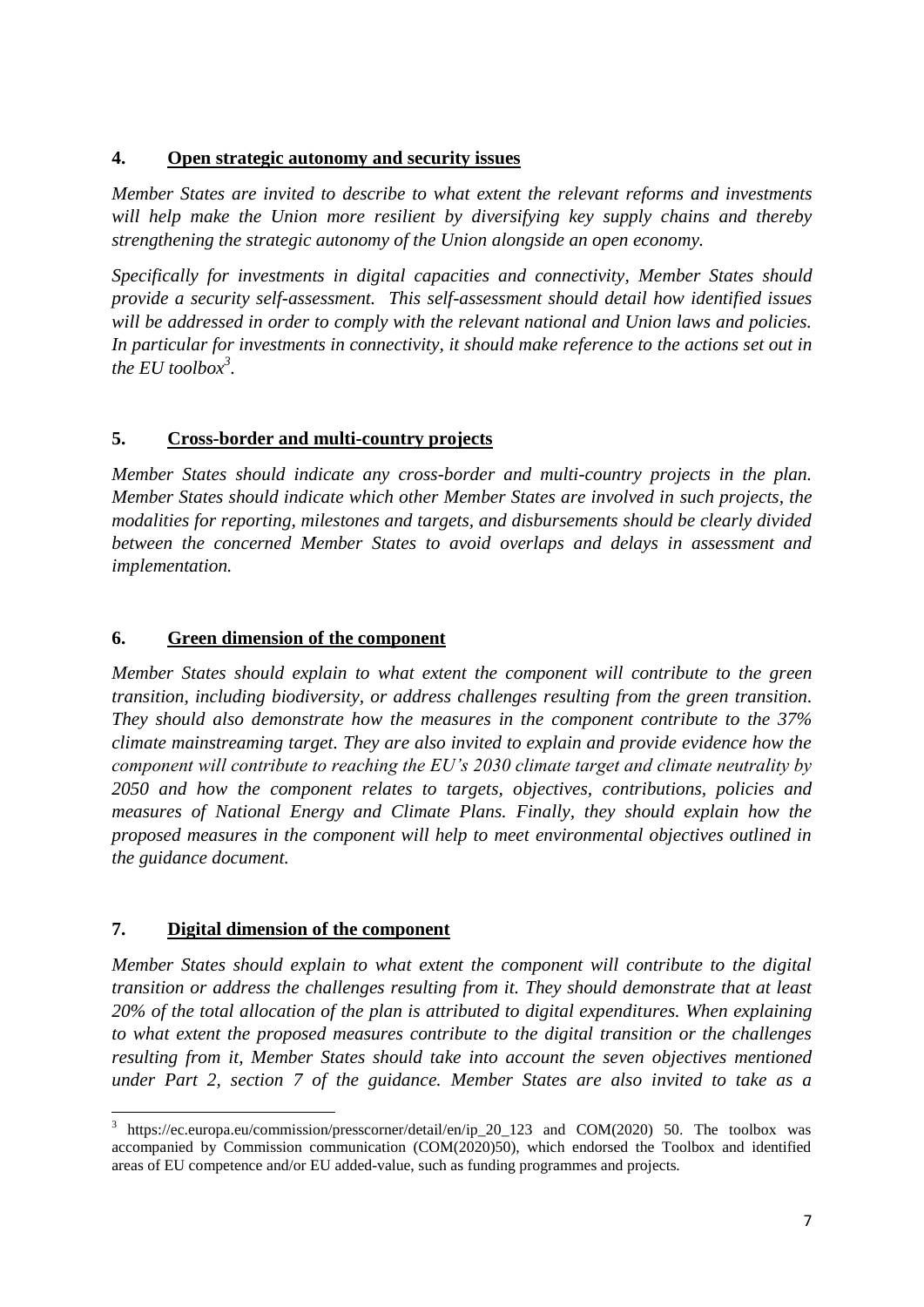#### <span id="page-7-0"></span>**4. Open strategic autonomy and security issues**

*Member States are invited to describe to what extent the relevant reforms and investments will help make the Union more resilient by diversifying key supply chains and thereby strengthening the strategic autonomy of the Union alongside an open economy.* 

*Specifically for investments in digital capacities and connectivity, Member States should provide a security self-assessment. This self-assessment should detail how identified issues will be addressed in order to comply with the relevant national and Union laws and policies. In particular for investments in connectivity, it should make reference to the actions set out in the EU toolbox<sup>3</sup> .*

#### <span id="page-7-1"></span>**5. Cross-border and multi-country projects**

*Member States should indicate any cross-border and multi-country projects in the plan. Member States should indicate which other Member States are involved in such projects, the modalities for reporting, milestones and targets, and disbursements should be clearly divided between the concerned Member States to avoid overlaps and delays in assessment and implementation.*

#### <span id="page-7-2"></span>**6. Green dimension of the component**

*Member States should explain to what extent the component will contribute to the green transition, including biodiversity, or address challenges resulting from the green transition. They should also demonstrate how the measures in the component contribute to the 37% climate mainstreaming target. They are also invited to explain and provide evidence how the component will contribute to reaching the EU's 2030 climate target and climate neutrality by 2050 and how the component relates to targets, objectives, contributions, policies and measures of National Energy and Climate Plans. Finally, they should explain how the proposed measures in the component will help to meet environmental objectives outlined in the guidance document.*

#### <span id="page-7-3"></span>**7. Digital dimension of the component**

**.** 

*Member States should explain to what extent the component will contribute to the digital transition or address the challenges resulting from it. They should demonstrate that at least 20% of the total allocation of the plan is attributed to digital expenditures. When explaining to what extent the proposed measures contribute to the digital transition or the challenges resulting from it, Member States should take into account the seven objectives mentioned under Part 2, section 7 of the guidance. Member States are also invited to take as a* 

<sup>3</sup> https://ec.europa.eu/commission/presscorner/detail/en/ip\_20\_123 and COM(2020) 50. The toolbox was accompanied by Commission communication (COM(2020)50), which endorsed the Toolbox and identified areas of EU competence and/or EU added-value, such as funding programmes and projects.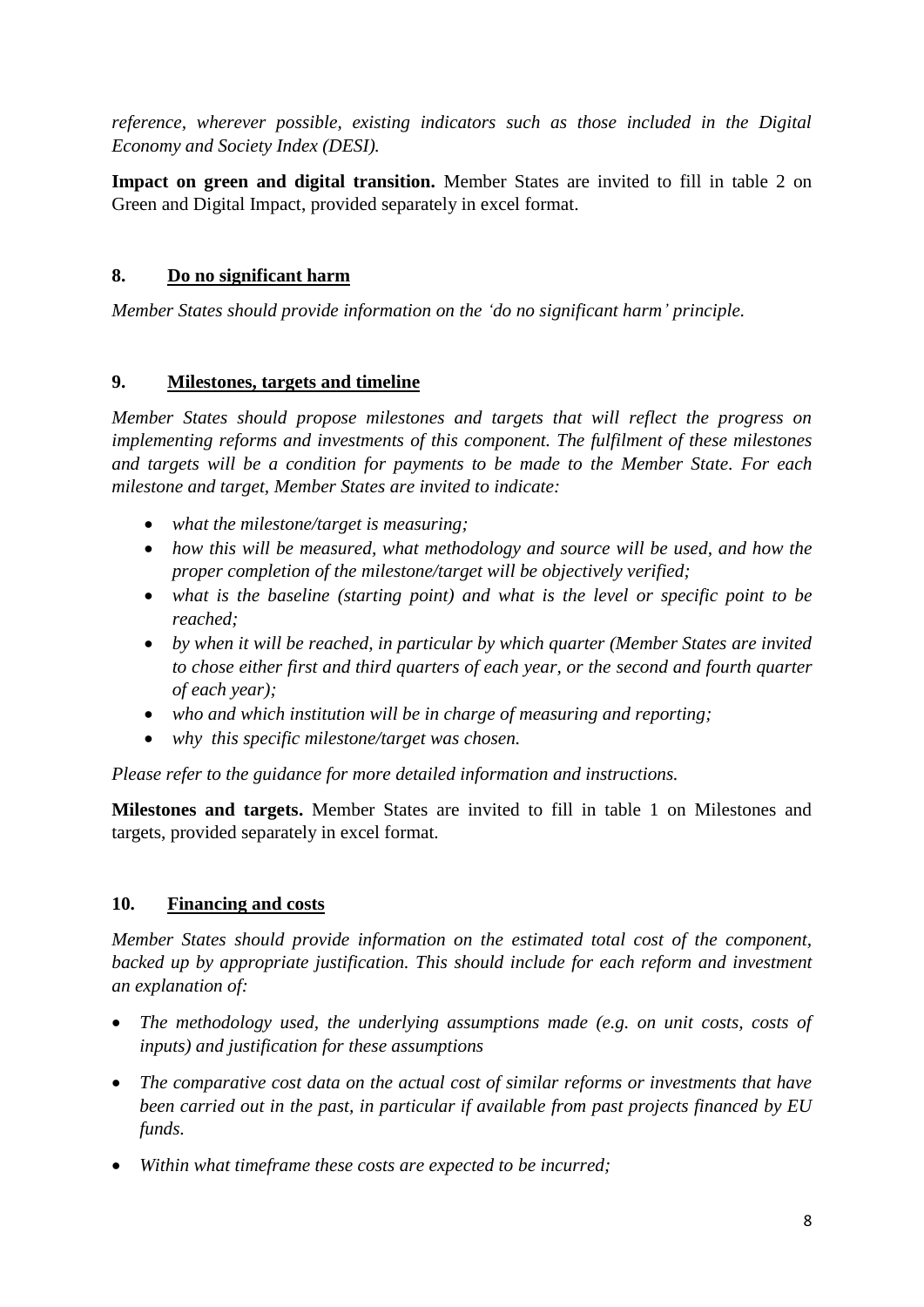*reference, wherever possible, existing indicators such as those included in the Digital Economy and Society Index (DESI).*

**Impact on green and digital transition.** Member States are invited to fill in table 2 on Green and Digital Impact, provided separately in excel format.

#### <span id="page-8-0"></span>**8. Do no significant harm**

*Member States should provide information on the 'do no significant harm' principle.*

#### <span id="page-8-1"></span>**9. Milestones, targets and timeline**

*Member States should propose milestones and targets that will reflect the progress on implementing reforms and investments of this component. The fulfilment of these milestones and targets will be a condition for payments to be made to the Member State. For each milestone and target, Member States are invited to indicate:*

- *what the milestone/target is measuring;*
- *how this will be measured, what methodology and source will be used, and how the proper completion of the milestone/target will be objectively verified;*
- *what is the baseline (starting point) and what is the level or specific point to be reached;*
- *by when it will be reached, in particular by which quarter (Member States are invited to chose either first and third quarters of each year, or the second and fourth quarter of each year);*
- *who and which institution will be in charge of measuring and reporting;*
- *why this specific milestone/target was chosen.*

*Please refer to the guidance for more detailed information and instructions.*

**Milestones and targets.** Member States are invited to fill in table 1 on Milestones and targets, provided separately in excel format.

### <span id="page-8-2"></span>**10. Financing and costs**

*Member States should provide information on the estimated total cost of the component,*  backed up by appropriate justification. This should include for each reform and investment *an explanation of:* 

- *The methodology used, the underlying assumptions made (e.g. on unit costs, costs of inputs) and justification for these assumptions*
- *The comparative cost data on the actual cost of similar reforms or investments that have been carried out in the past, in particular if available from past projects financed by EU funds.*
- *Within what timeframe these costs are expected to be incurred;*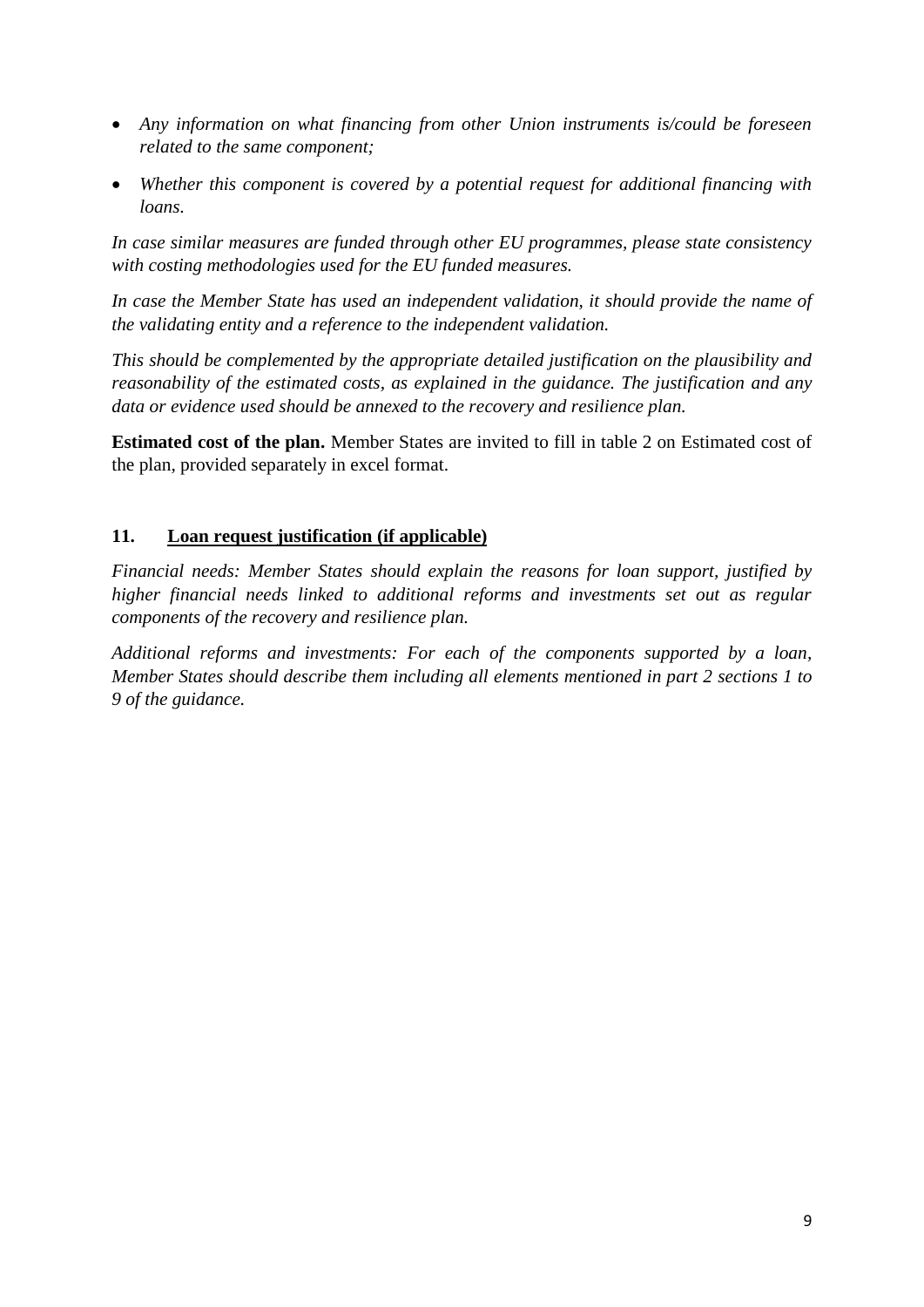- *Any information on what financing from other Union instruments is/could be foreseen related to the same component;*
- *Whether this component is covered by a potential request for additional financing with loans.*

*In case similar measures are funded through other EU programmes, please state consistency with costing methodologies used for the EU funded measures.*

*In case the Member State has used an independent validation, it should provide the name of the validating entity and a reference to the independent validation.*

*This should be complemented by the appropriate detailed justification on the plausibility and reasonability of the estimated costs, as explained in the guidance. The justification and any data or evidence used should be annexed to the recovery and resilience plan.* 

**Estimated cost of the plan.** Member States are invited to fill in table 2 on Estimated cost of the plan, provided separately in excel format.

#### <span id="page-9-0"></span>**11. Loan request justification (if applicable)**

*Financial needs: Member States should explain the reasons for loan support, justified by higher financial needs linked to additional reforms and investments set out as regular components of the recovery and resilience plan.*

*Additional reforms and investments: For each of the components supported by a loan, Member States should describe them including all elements mentioned in part 2 sections 1 to 9 of the guidance.*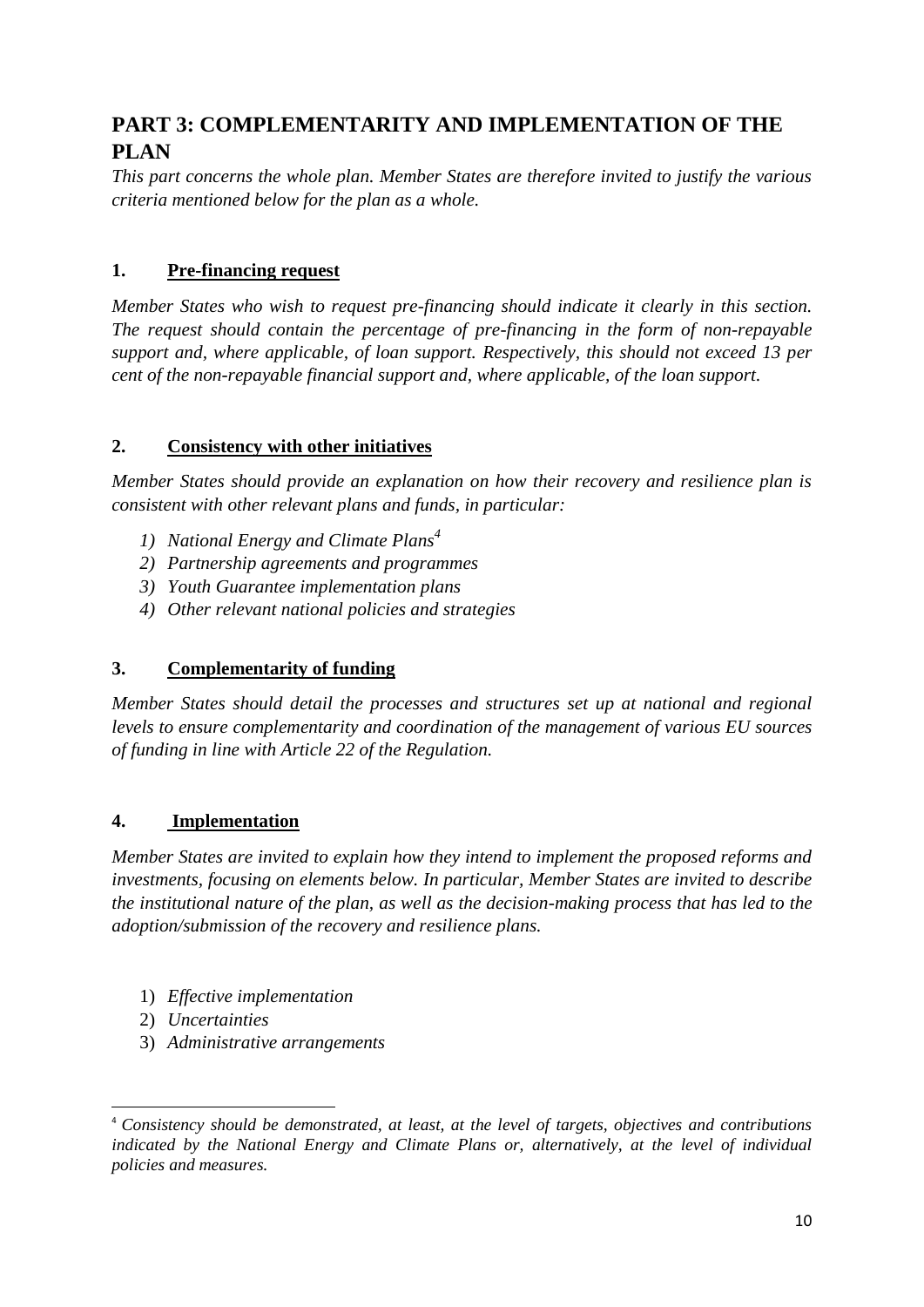## <span id="page-10-0"></span>**PART 3: COMPLEMENTARITY AND IMPLEMENTATION OF THE PLAN**

*This part concerns the whole plan. Member States are therefore invited to justify the various criteria mentioned below for the plan as a whole.* 

#### <span id="page-10-1"></span>**1. Pre-financing request**

*Member States who wish to request pre-financing should indicate it clearly in this section. The request should contain the percentage of pre-financing in the form of non-repayable support and, where applicable, of loan support. Respectively, this should not exceed 13 per cent of the non-repayable financial support and, where applicable, of the loan support.* 

#### <span id="page-10-2"></span>**2. Consistency with other initiatives**

*Member States should provide an explanation on how their recovery and resilience plan is consistent with other relevant plans and funds, in particular:*

- *1) National Energy and Climate Plans<sup>4</sup>*
- *2) Partnership agreements and programmes*
- *3) Youth Guarantee implementation plans*
- *4) Other relevant national policies and strategies*

#### <span id="page-10-3"></span>**3. Complementarity of funding**

*Member States should detail the processes and structures set up at national and regional levels to ensure complementarity and coordination of the management of various EU sources of funding in line with Article 22 of the Regulation.* 

#### <span id="page-10-4"></span>**4. Implementation**

*Member States are invited to explain how they intend to implement the proposed reforms and investments, focusing on elements below. In particular, Member States are invited to describe the institutional nature of the plan, as well as the decision-making process that has led to the adoption/submission of the recovery and resilience plans.*

- 1) *Effective implementation*
- 2) *Uncertainties*

1

3) *Administrative arrangements*

<sup>4</sup> *Consistency should be demonstrated, at least, at the level of targets, objectives and contributions indicated by the National Energy and Climate Plans or, alternatively, at the level of individual policies and measures.*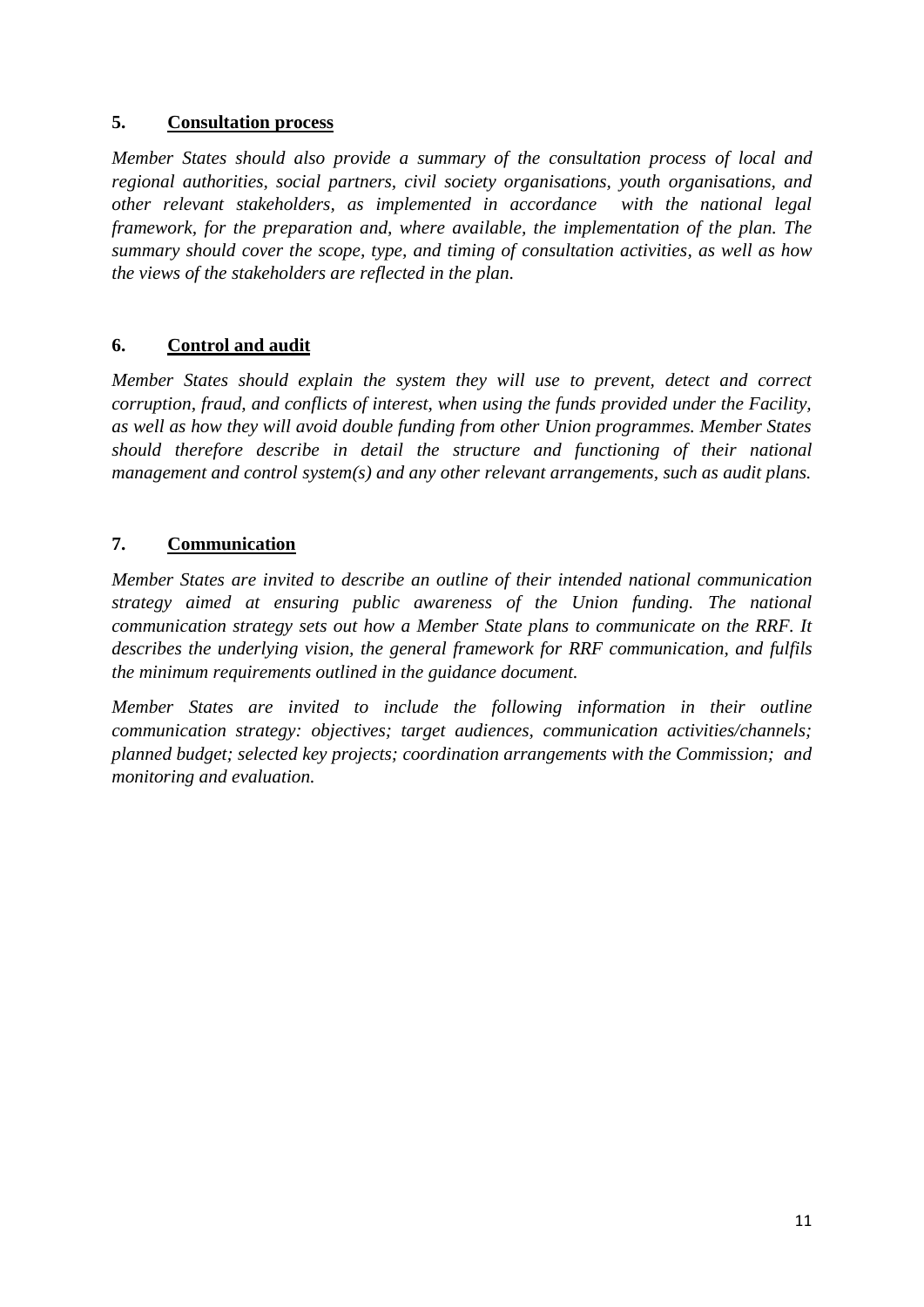#### <span id="page-11-0"></span>**5. Consultation process**

*Member States should also provide a summary of the consultation process of local and regional authorities, social partners, civil society organisations, youth organisations, and other relevant stakeholders, as implemented in accordance with the national legal framework, for the preparation and, where available, the implementation of the plan. The summary should cover the scope, type, and timing of consultation activities, as well as how the views of the stakeholders are reflected in the plan.* 

### <span id="page-11-1"></span>**6. Control and audit**

*Member States should explain the system they will use to prevent, detect and correct corruption, fraud, and conflicts of interest, when using the funds provided under the Facility, as well as how they will avoid double funding from other Union programmes. Member States should therefore describe in detail the structure and functioning of their national management and control system(s) and any other relevant arrangements, such as audit plans.* 

#### <span id="page-11-2"></span>**7. Communication**

*Member States are invited to describe an outline of their intended national communication strategy aimed at ensuring public awareness of the Union funding. The national communication strategy sets out how a Member State plans to communicate on the RRF. It describes the underlying vision, the general framework for RRF communication, and fulfils the minimum requirements outlined in the guidance document.* 

*Member States are invited to include the following information in their outline communication strategy: objectives; target audiences, communication activities/channels; planned budget; selected key projects; coordination arrangements with the Commission; and monitoring and evaluation.*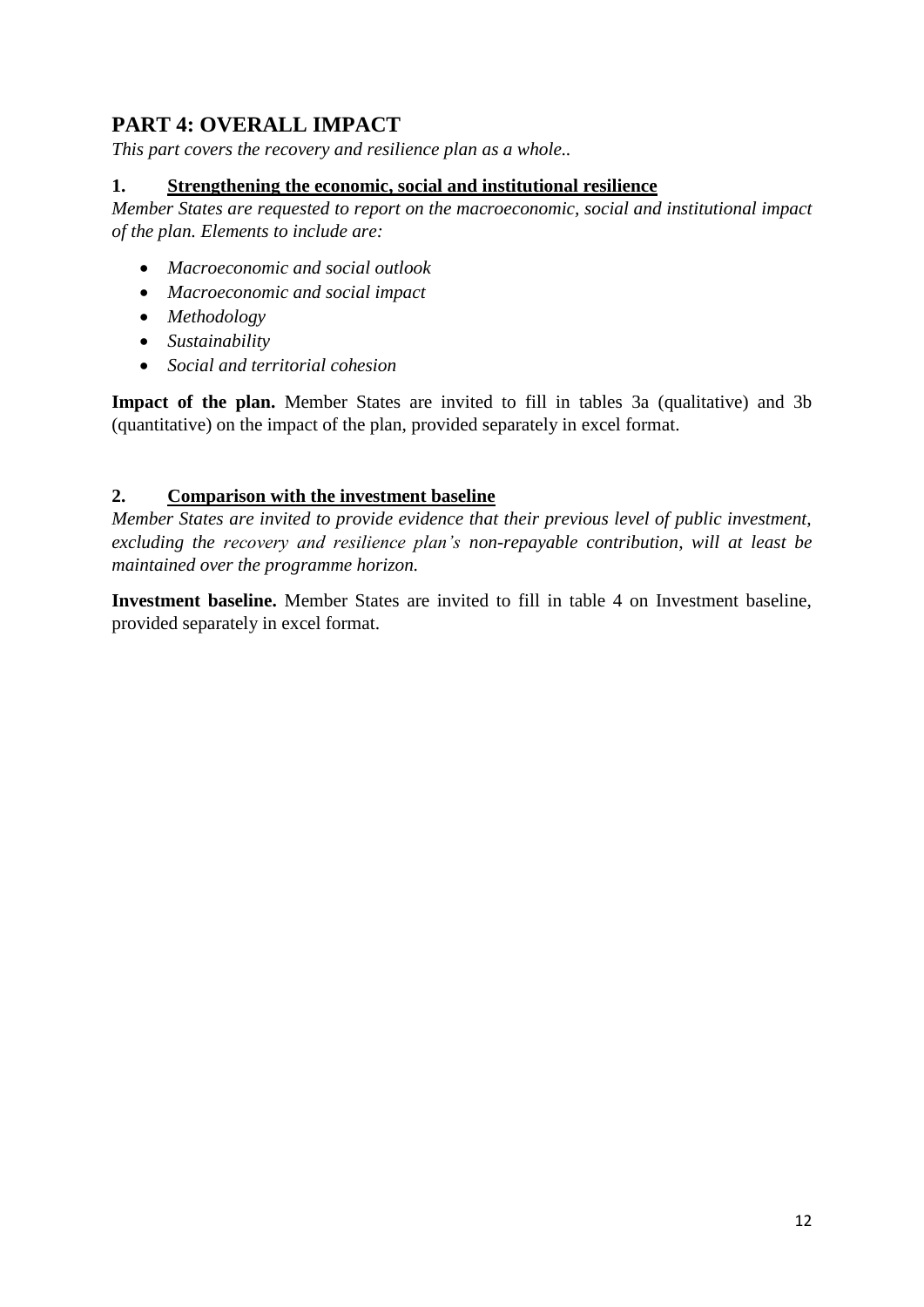## <span id="page-12-0"></span>**PART 4: OVERALL IMPACT**

*This part covers the recovery and resilience plan as a whole..*

#### <span id="page-12-1"></span>**1. Strengthening the economic, social and institutional resilience**

*Member States are requested to report on the macroeconomic, social and institutional impact of the plan. Elements to include are:*

- *Macroeconomic and social outlook*
- *Macroeconomic and social impact*
- *Methodology*
- *Sustainability*
- *Social and territorial cohesion*

**Impact of the plan.** Member States are invited to fill in tables 3a (qualitative) and 3b (quantitative) on the impact of the plan, provided separately in excel format.

#### <span id="page-12-2"></span>**2. Comparison with the investment baseline**

*Member States are invited to provide evidence that their previous level of public investment, excluding the recovery and resilience plan's non-repayable contribution, will at least be maintained over the programme horizon.* 

**Investment baseline.** Member States are invited to fill in table 4 on Investment baseline, provided separately in excel format.